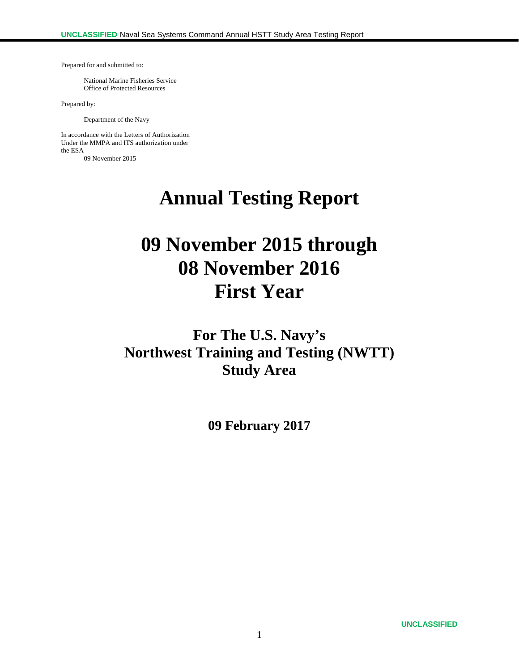Prepared for and submitted to:

 National Marine Fisheries Service Office of Protected Resources

Prepared by:

Department of the Navy

In accordance with the Letters of Authorization Under the MMPA and ITS authorization under the ESA 09 November 2015

**Annual Testing Report** 

# **09 November 2015 through 08 November 2016 First Year**

**For The U.S. Navy's Northwest Training and Testing (NWTT) Study Area** 

**09 February 2017**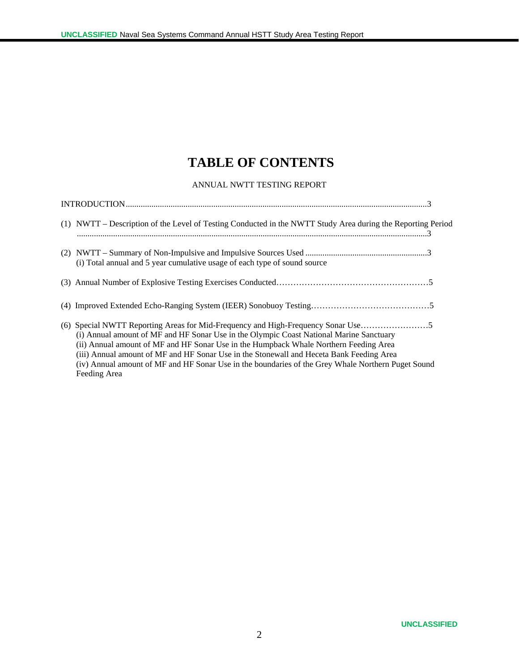# **TABLE OF CONTENTS**

#### ANNUAL NWTT TESTING REPORT

| (1) NWTT – Description of the Level of Testing Conducted in the NWTT Study Area during the Reporting Period                                                                                                                                                                                                                                                                                        |
|----------------------------------------------------------------------------------------------------------------------------------------------------------------------------------------------------------------------------------------------------------------------------------------------------------------------------------------------------------------------------------------------------|
| (i) Total annual and 5 year cumulative usage of each type of sound source                                                                                                                                                                                                                                                                                                                          |
|                                                                                                                                                                                                                                                                                                                                                                                                    |
|                                                                                                                                                                                                                                                                                                                                                                                                    |
| (i) Annual amount of MF and HF Sonar Use in the Olympic Coast National Marine Sanctuary<br>(ii) Annual amount of MF and HF Sonar Use in the Humpback Whale Northern Feeding Area<br>(iii) Annual amount of MF and HF Sonar Use in the Stonewall and Heceta Bank Feeding Area<br>(iv) Annual amount of MF and HF Sonar Use in the boundaries of the Grey Whale Northern Puget Sound<br>Feeding Area |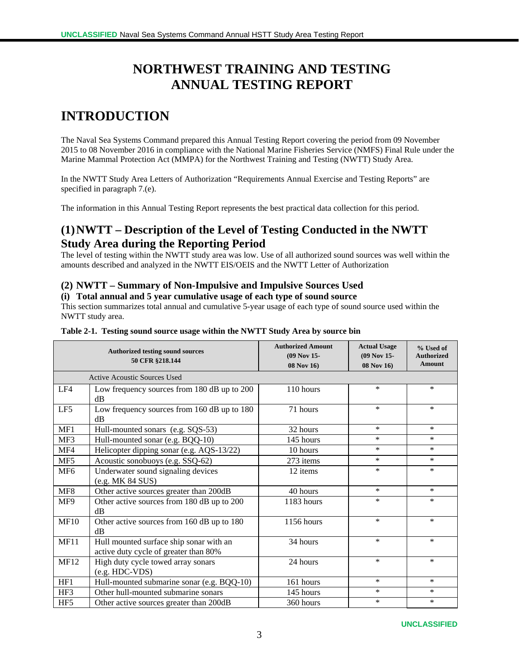# **NORTHWEST TRAINING AND TESTING ANNUAL TESTING REPORT**

# **INTRODUCTION**

The Naval Sea Systems Command prepared this Annual Testing Report covering the period from 09 November 2015 to 08 November 2016 in compliance with the National Marine Fisheries Service (NMFS) Final Rule under the Marine Mammal Protection Act (MMPA) for the Northwest Training and Testing (NWTT) Study Area.

In the NWTT Study Area Letters of Authorization "Requirements Annual Exercise and Testing Reports" are specified in paragraph 7.(e).

The information in this Annual Testing Report represents the best practical data collection for this period.

## **(1)NWTT – Description of the Level of Testing Conducted in the NWTT Study Area during the Reporting Period**

The level of testing within the NWTT study area was low. Use of all authorized sound sources was well within the amounts described and analyzed in the NWTT EIS/OEIS and the NWTT Letter of Authorization

#### **(2) NWTT – Summary of Non-Impulsive and Impulsive Sources Used**

#### **(i) Total annual and 5 year cumulative usage of each type of sound source**

This section summarizes total annual and cumulative 5-year usage of each type of sound source used within the NWTT study area.

|                 | <b>Authorized testing sound sources</b><br>50 CFR §218.144                                   | <b>Authorized Amount</b><br>(09 Nov 15-<br>08 Nov 16) | <b>Actual Usage</b><br>(09 Nov 15-<br>08 Nov 16) | % Used of<br><b>Authorized</b><br><b>Amount</b> |  |  |
|-----------------|----------------------------------------------------------------------------------------------|-------------------------------------------------------|--------------------------------------------------|-------------------------------------------------|--|--|
|                 | <b>Active Acoustic Sources Used</b>                                                          |                                                       |                                                  |                                                 |  |  |
| LF4             | Low frequency sources from 180 dB up to 200<br>dB                                            | 110 hours                                             | $\ast$                                           | $\ast$                                          |  |  |
| LF5             | Low frequency sources from 160 dB up to 180<br>dB                                            | 71 hours                                              | $\ast$                                           | $\ast$                                          |  |  |
| MF1             | Hull-mounted sonars (e.g. SQS-53)                                                            | 32 hours                                              | $\ast$                                           | $\ast$                                          |  |  |
| MF3             | Hull-mounted sonar (e.g. BQQ-10)                                                             | 145 hours                                             | $\ast$                                           | $\ast$                                          |  |  |
| MF4             | Helicopter dipping sonar (e.g. AQS-13/22)                                                    | 10 hours                                              | $\ast$                                           | $\ast$                                          |  |  |
| MF5             | Acoustic sonobuoys (e.g. SSQ-62)                                                             | 273 items                                             | $\ast$                                           | $\ast$                                          |  |  |
| MF <sub>6</sub> | Underwater sound signaling devices<br>(e.g. MK 84 SUS)                                       | 12 items                                              | $\ast$                                           | $\ast$                                          |  |  |
| MF <sub>8</sub> | Other active sources greater than 200dB<br>40 hours                                          |                                                       | $\ast$                                           | $\ast$                                          |  |  |
| MF9             | Other active sources from 180 dB up to 200<br>dB                                             | 1183 hours                                            | $\ast$                                           | $\ast$                                          |  |  |
| <b>MF10</b>     | Other active sources from 160 dB up to 180<br>1156 hours<br>dB                               |                                                       | $\ast$                                           | $\ast$                                          |  |  |
| <b>MF11</b>     | Hull mounted surface ship sonar with an<br>34 hours<br>active duty cycle of greater than 80% |                                                       | $\ast$                                           | $\ast$                                          |  |  |
| <b>MF12</b>     | $\ast$<br>High duty cycle towed array sonars<br>24 hours<br>$(e.g. HDC-VDS)$                 |                                                       |                                                  | ∗                                               |  |  |
| HF1             | Hull-mounted submarine sonar (e.g. BQQ-10)                                                   | 161 hours                                             | $\ast$                                           | $\ast$                                          |  |  |
| HF3             | Other hull-mounted submarine sonars                                                          | 145 hours                                             | $\ast$                                           | $\ast$                                          |  |  |
| HF <sub>5</sub> | Other active sources greater than 200dB                                                      | 360 hours                                             | $\ast$                                           | $\ast$                                          |  |  |

#### **Table 2-1. Testing sound source usage within the NWTT Study Area by source bin**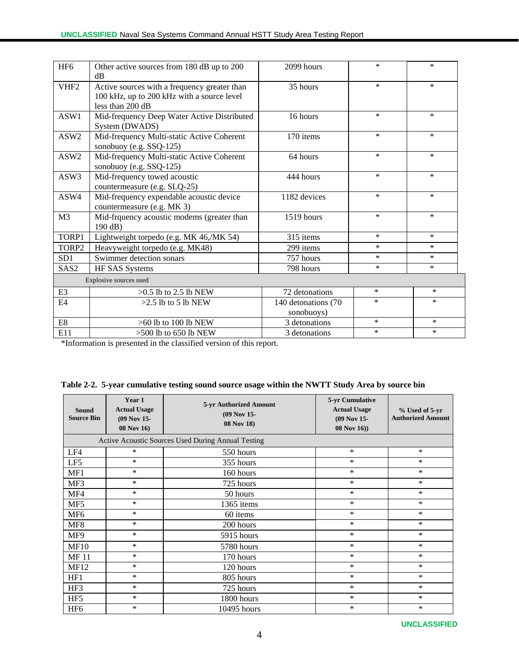| HF <sub>6</sub>                                                  | Other active sources from 180 dB up to 200  | 2099 hours          | $\ast$ | $\ast$ |
|------------------------------------------------------------------|---------------------------------------------|---------------------|--------|--------|
|                                                                  | dB                                          |                     |        |        |
| VHF <sub>2</sub><br>Active sources with a frequency greater than |                                             | 35 hours            | $\ast$ | $\ast$ |
|                                                                  | 100 kHz, up to 200 kHz with a source level  |                     |        |        |
|                                                                  | less than 200 dB                            |                     |        |        |
| ASW1                                                             | Mid-frequency Deep Water Active Distributed | 16 hours            | $\ast$ | $\ast$ |
|                                                                  | System (DWADS)                              |                     |        |        |
| ASW2                                                             | Mid-frequency Multi-static Active Coherent  | 170 items           | $\ast$ | $\ast$ |
|                                                                  | sonobuoy (e.g. SSQ-125)                     |                     |        |        |
| ASW2                                                             | Mid-frequency Multi-static Active Coherent  | 64 hours            | $\ast$ | $\ast$ |
|                                                                  | sonobuoy (e.g. SSQ-125)                     |                     |        |        |
| ASW3                                                             | Mid-frequency towed acoustic                | 444 hours           | $\ast$ | $\ast$ |
|                                                                  | countermeasure (e.g. SLQ-25)                |                     |        |        |
| ASW4                                                             | Mid-frequency expendable acoustic device    | 1182 devices        | $\ast$ | $\ast$ |
|                                                                  | countermeasure (e.g. MK 3)                  |                     |        |        |
| M <sub>3</sub>                                                   | Mid-frquency acoustic modems (greater than  | 1519 hours          | $\ast$ | $\ast$ |
|                                                                  | 190 dB)                                     |                     |        |        |
| TORP1                                                            | Lightweight torpedo (e.g. MK 46,/MK 54)     | 315 items           | $\ast$ | $\ast$ |
| TORP2                                                            | Heavyweight torpedo (e.g. MK48)             | 299 items           | $\ast$ | $\ast$ |
| SD <sub>1</sub>                                                  | Swimmer detection sonars                    | 757 hours           | $\ast$ | $\ast$ |
| SAS <sub>2</sub>                                                 | HF SAS Systems                              | 798 hours           | $\ast$ | $\ast$ |
|                                                                  | Explosive sources used                      |                     |        |        |
| E3                                                               | $>0.5$ lb to 2.5 lb NEW                     | 72 detonations      | $\ast$ | $\ast$ |
| E4                                                               | $>2.5$ lb to 5 lb NEW                       | 140 detonations (70 | $\ast$ | $\ast$ |
|                                                                  |                                             | sonobuoys)          |        |        |
| $\mathop{\hbox{\rm E}} 8$                                        | $>60$ lb to 100 lb NEW                      | 3 detonations       | $\ast$ | $*$    |
| E11                                                              | $>500$ lb to $650$ lb NEW                   | 3 detonations       | $\ast$ | $\ast$ |

\*Information is presented in the classified version of this report.

| Table 2-2. 5-year cumulative testing sound source usage within the NWTT Study Area by source bin |  |  |
|--------------------------------------------------------------------------------------------------|--|--|
|                                                                                                  |  |  |

| Sound<br><b>Source Bin</b> | Year 1<br><b>Actual Usage</b><br>(09 Nov 15-<br>08 Nov 16) | <b>5-yr Authorized Amount</b><br>(09 Nov 15-<br>08 Nov 18) | 5-yr Cumulative<br><b>Actual Usage</b><br>(09 Nov 15-<br>$08$ Nov $16)$ ) | % Used of 5-yr<br><b>Authorized Amount</b> |
|----------------------------|------------------------------------------------------------|------------------------------------------------------------|---------------------------------------------------------------------------|--------------------------------------------|
|                            |                                                            | Active Acoustic Sources Used During Annual Testing         |                                                                           |                                            |
| LF4                        | *                                                          | 550 hours                                                  | $\ast$                                                                    | $\ast$                                     |
| LF5                        | $\ast$                                                     | 355 hours                                                  | $\ast$                                                                    | *                                          |
| MF1                        | $\ast$                                                     | 160 hours                                                  | $\ast$                                                                    | *                                          |
| MF3                        | $\ast$                                                     | 725 hours                                                  | $\ast$                                                                    | *                                          |
| MF4                        | $\ast$                                                     | 50 hours                                                   | $\ast$                                                                    | $\ast$                                     |
| MF5                        | $\ast$                                                     | 1365 items                                                 | $\ast$                                                                    | *                                          |
| MF <sub>6</sub>            | $\ast$                                                     | 60 items                                                   | $\ast$                                                                    | *                                          |
| MF8                        | $\ast$                                                     | 200 hours                                                  | $\ast$                                                                    | *                                          |
| MF9                        | $\ast$                                                     | 5915 hours                                                 | $\ast$                                                                    | *                                          |
| <b>MF10</b>                | $\ast$                                                     | 5780 hours                                                 | $\ast$                                                                    | $\ast$                                     |
| <b>MF11</b>                | $\ast$                                                     | 170 hours                                                  | $\ast$                                                                    | *                                          |
| <b>MF12</b>                | $\ast$                                                     | 120 hours                                                  | $\ast$                                                                    | *                                          |
| HF1                        | $\ast$                                                     | 805 hours                                                  | $\ast$                                                                    | *                                          |
| HF3                        | $\ast$                                                     | 725 hours                                                  | $\ast$                                                                    | *                                          |
| HF <sub>5</sub>            | $\ast$                                                     | 1800 hours                                                 | $\ast$                                                                    | $\ast$                                     |
| HF <sub>6</sub>            | *                                                          | 10495 hours                                                | $\ast$                                                                    | *                                          |

**UNCLASSIFIED**